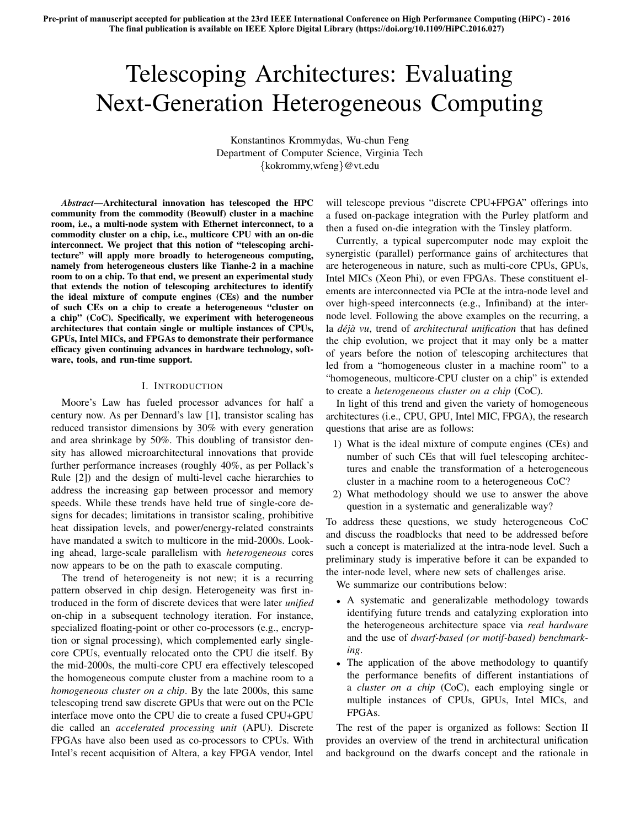# Telescoping Architectures: Evaluating Next-Generation Heterogeneous Computing

Konstantinos Krommydas, Wu-chun Feng Department of Computer Science, Virginia Tech *{*kokrommy,wfeng*}*@vt.edu

*Abstract*—Architectural innovation has telescoped the HPC community from the commodity (Beowulf) cluster in a machine room, i.e., a multi-node system with Ethernet interconnect, to a commodity cluster on a chip, i.e., multicore CPU with an on-die interconnect. We project that this notion of "telescoping architecture" will apply more broadly to heterogeneous computing, namely from heterogeneous clusters like Tianhe-2 in a machine room to on a chip. To that end, we present an experimental study that extends the notion of telescoping architectures to identify the ideal mixture of compute engines (CEs) and the number of such CEs on a chip to create a heterogeneous "cluster on a chip" (CoC). Specifically, we experiment with heterogeneous architectures that contain single or multiple instances of CPUs, GPUs, Intel MICs, and FPGAs to demonstrate their performance efficacy given continuing advances in hardware technology, software, tools, and run-time support.

## I. INTRODUCTION

Moore's Law has fueled processor advances for half a century now. As per Dennard's law [1], transistor scaling has reduced transistor dimensions by 30% with every generation and area shrinkage by 50%. This doubling of transistor density has allowed microarchitectural innovations that provide further performance increases (roughly 40%, as per Pollack's Rule [2]) and the design of multi-level cache hierarchies to address the increasing gap between processor and memory speeds. While these trends have held true of single-core designs for decades; limitations in transistor scaling, prohibitive heat dissipation levels, and power/energy-related constraints have mandated a switch to multicore in the mid-2000s. Looking ahead, large-scale parallelism with *heterogeneous* cores now appears to be on the path to exascale computing.

The trend of heterogeneity is not new; it is a recurring pattern observed in chip design. Heterogeneity was first introduced in the form of discrete devices that were later *unified* on-chip in a subsequent technology iteration. For instance, specialized floating-point or other co-processors (e.g., encryption or signal processing), which complemented early singlecore CPUs, eventually relocated onto the CPU die itself. By the mid-2000s, the multi-core CPU era effectively telescoped the homogeneous compute cluster from a machine room to a *homogeneous cluster on a chip*. By the late 2000s, this same telescoping trend saw discrete GPUs that were out on the PCIe interface move onto the CPU die to create a fused CPU+GPU die called an *accelerated processing unit* (APU). Discrete FPGAs have also been used as co-processors to CPUs. With Intel's recent acquisition of Altera, a key FPGA vendor, Intel will telescope previous "discrete CPU+FPGA" offerings into a fused on-package integration with the Purley platform and then a fused on-die integration with the Tinsley platform.

Currently, a typical supercomputer node may exploit the synergistic (parallel) performance gains of architectures that are heterogeneous in nature, such as multi-core CPUs, GPUs, Intel MICs (Xeon Phi), or even FPGAs. These constituent elements are interconnected via PCIe at the intra-node level and over high-speed interconnects (e.g., Infiniband) at the internode level. Following the above examples on the recurring, a la *déjà vu*, trend of *architectural unification* that has defined the chip evolution, we project that it may only be a matter of years before the notion of telescoping architectures that led from a "homogeneous cluster in a machine room" to a "homogeneous, multicore-CPU cluster on a chip" is extended to create a *heterogeneous cluster on a chip* (CoC).

In light of this trend and given the variety of homogeneous architectures (i.e., CPU, GPU, Intel MIC, FPGA), the research questions that arise are as follows:

- 1) What is the ideal mixture of compute engines (CEs) and number of such CEs that will fuel telescoping architectures and enable the transformation of a heterogeneous cluster in a machine room to a heterogeneous CoC?
- 2) What methodology should we use to answer the above question in a systematic and generalizable way?

To address these questions, we study heterogeneous CoC and discuss the roadblocks that need to be addressed before such a concept is materialized at the intra-node level. Such a preliminary study is imperative before it can be expanded to the inter-node level, where new sets of challenges arise.

We summarize our contributions below:

- A systematic and generalizable methodology towards identifying future trends and catalyzing exploration into the heterogeneous architecture space via *real hardware* and the use of *dwarf-based (or motif-based) benchmarking*.
- The application of the above methodology to quantify the performance benefits of different instantiations of a *cluster on a chip* (CoC), each employing single or multiple instances of CPUs, GPUs, Intel MICs, and FPGAs.

The rest of the paper is organized as follows: Section II provides an overview of the trend in architectural unification and background on the dwarfs concept and the rationale in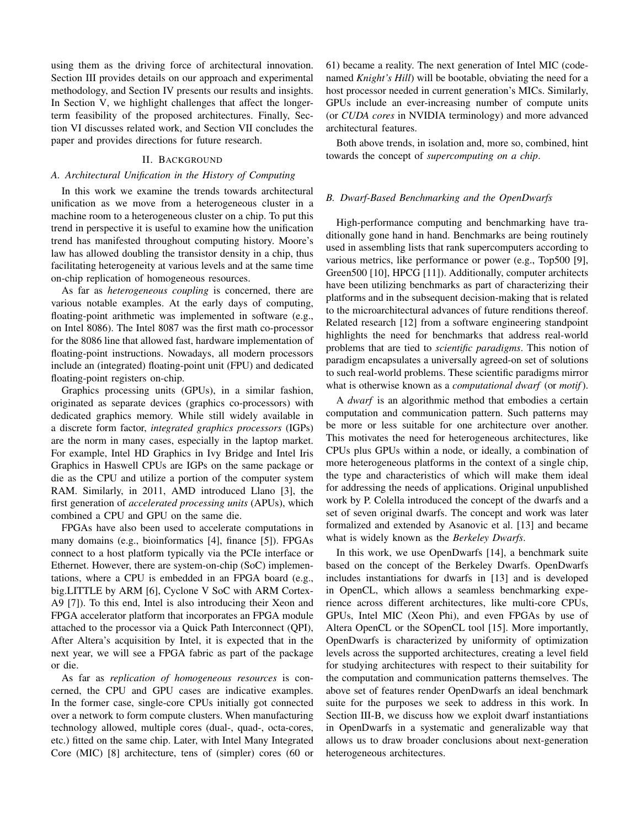using them as the driving force of architectural innovation. Section III provides details on our approach and experimental methodology, and Section IV presents our results and insights. In Section V, we highlight challenges that affect the longerterm feasibility of the proposed architectures. Finally, Section VI discusses related work, and Section VII concludes the paper and provides directions for future research.

## II. BACKGROUND

## *A. Architectural Unification in the History of Computing*

In this work we examine the trends towards architectural unification as we move from a heterogeneous cluster in a machine room to a heterogeneous cluster on a chip. To put this trend in perspective it is useful to examine how the unification trend has manifested throughout computing history. Moore's law has allowed doubling the transistor density in a chip, thus facilitating heterogeneity at various levels and at the same time on-chip replication of homogeneous resources.

As far as *heterogeneous coupling* is concerned, there are various notable examples. At the early days of computing, floating-point arithmetic was implemented in software (e.g., on Intel 8086). The Intel 8087 was the first math co-processor for the 8086 line that allowed fast, hardware implementation of floating-point instructions. Nowadays, all modern processors include an (integrated) floating-point unit (FPU) and dedicated floating-point registers on-chip.

Graphics processing units (GPUs), in a similar fashion, originated as separate devices (graphics co-processors) with dedicated graphics memory. While still widely available in a discrete form factor, *integrated graphics processors* (IGPs) are the norm in many cases, especially in the laptop market. For example, Intel HD Graphics in Ivy Bridge and Intel Iris Graphics in Haswell CPUs are IGPs on the same package or die as the CPU and utilize a portion of the computer system RAM. Similarly, in 2011, AMD introduced Llano [3], the first generation of *accelerated processing units* (APUs), which combined a CPU and GPU on the same die.

FPGAs have also been used to accelerate computations in many domains (e.g., bioinformatics [4], finance [5]). FPGAs connect to a host platform typically via the PCIe interface or Ethernet. However, there are system-on-chip (SoC) implementations, where a CPU is embedded in an FPGA board (e.g., big.LITTLE by ARM [6], Cyclone V SoC with ARM Cortex-A9 [7]). To this end, Intel is also introducing their Xeon and FPGA accelerator platform that incorporates an FPGA module attached to the processor via a Quick Path Interconnect (QPI), After Altera's acquisition by Intel, it is expected that in the next year, we will see a FPGA fabric as part of the package or die.

As far as *replication of homogeneous resources* is concerned, the CPU and GPU cases are indicative examples. In the former case, single-core CPUs initially got connected over a network to form compute clusters. When manufacturing technology allowed, multiple cores (dual-, quad-, octa-cores, etc.) fitted on the same chip. Later, with Intel Many Integrated Core (MIC) [8] architecture, tens of (simpler) cores (60 or 61) became a reality. The next generation of Intel MIC (codenamed *Knight's Hill*) will be bootable, obviating the need for a host processor needed in current generation's MICs. Similarly, GPUs include an ever-increasing number of compute units (or *CUDA cores* in NVIDIA terminology) and more advanced architectural features.

Both above trends, in isolation and, more so, combined, hint towards the concept of *supercomputing on a chip*.

#### *B. Dwarf-Based Benchmarking and the OpenDwarfs*

High-performance computing and benchmarking have traditionally gone hand in hand. Benchmarks are being routinely used in assembling lists that rank supercomputers according to various metrics, like performance or power (e.g., Top500 [9], Green500 [10], HPCG [11]). Additionally, computer architects have been utilizing benchmarks as part of characterizing their platforms and in the subsequent decision-making that is related to the microarchitectural advances of future renditions thereof. Related research [12] from a software engineering standpoint highlights the need for benchmarks that address real-world problems that are tied to *scientific paradigms*. This notion of paradigm encapsulates a universally agreed-on set of solutions to such real-world problems. These scientific paradigms mirror what is otherwise known as a *computational dwarf* (or *motif*).

A *dwarf* is an algorithmic method that embodies a certain computation and communication pattern. Such patterns may be more or less suitable for one architecture over another. This motivates the need for heterogeneous architectures, like CPUs plus GPUs within a node, or ideally, a combination of more heterogeneous platforms in the context of a single chip, the type and characteristics of which will make them ideal for addressing the needs of applications. Original unpublished work by P. Colella introduced the concept of the dwarfs and a set of seven original dwarfs. The concept and work was later formalized and extended by Asanovic et al. [13] and became what is widely known as the *Berkeley Dwarfs*.

In this work, we use OpenDwarfs [14], a benchmark suite based on the concept of the Berkeley Dwarfs. OpenDwarfs includes instantiations for dwarfs in [13] and is developed in OpenCL, which allows a seamless benchmarking experience across different architectures, like multi-core CPUs, GPUs, Intel MIC (Xeon Phi), and even FPGAs by use of Altera OpenCL or the SOpenCL tool [15]. More importantly, OpenDwarfs is characterized by uniformity of optimization levels across the supported architectures, creating a level field for studying architectures with respect to their suitability for the computation and communication patterns themselves. The above set of features render OpenDwarfs an ideal benchmark suite for the purposes we seek to address in this work. In Section III-B, we discuss how we exploit dwarf instantiations in OpenDwarfs in a systematic and generalizable way that allows us to draw broader conclusions about next-generation heterogeneous architectures.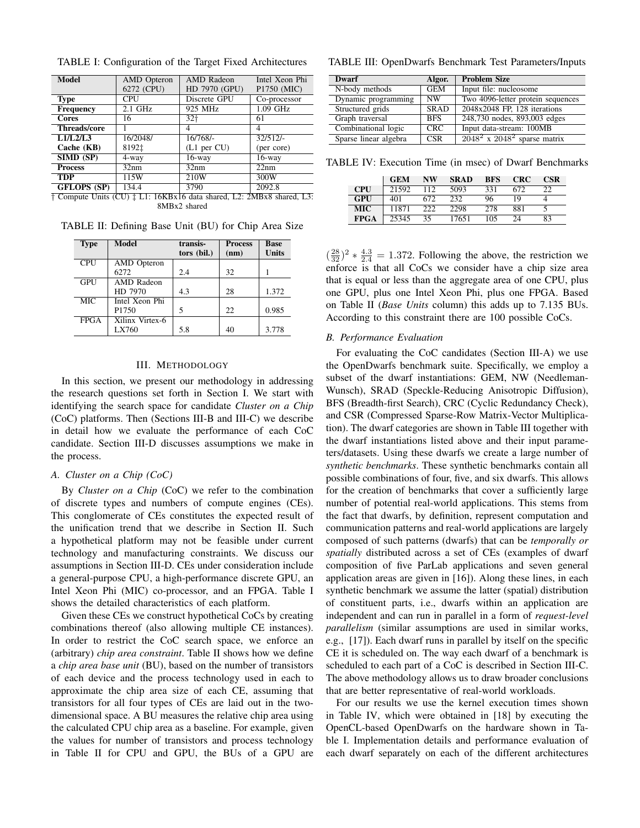| <b>Model</b>        | <b>AMD</b> Opteron<br>6272 (CPU) | AMD Radeon<br>HD 7970 (GPU) | Intel Xeon Phi<br>P1750 (MIC) |  |  |
|---------------------|----------------------------------|-----------------------------|-------------------------------|--|--|
| <b>Type</b>         | CPU                              | Discrete GPU                | Co-processor                  |  |  |
| <b>Frequency</b>    | $2.1$ GHz                        | 925 MHz                     | $1.09$ GHz                    |  |  |
| <b>Cores</b>        | 16                               | 32†                         | 61                            |  |  |
| <b>Threads/core</b> |                                  | 4                           |                               |  |  |
| L1/L2/L3            | 16/2048/                         | 16/768/                     | 32/512/                       |  |  |
| Cache (KB)          | 8192‡                            | $(L1$ per $CU)$             | (per core)                    |  |  |
| SIMD (SP)           | 4-way                            | $16$ -way                   | $16$ -way                     |  |  |
| <b>Process</b>      | 32nm                             | 32nm                        | 22nm                          |  |  |
| <b>TDP</b>          | 115W                             | 210W                        | 300W                          |  |  |
| <b>GFLOPS (SP)</b>  | 134.4                            | 3790                        | 2092.8                        |  |  |

TABLE I: Configuration of the Target Fixed Architectures

*†* Compute Units (CU) *‡* L1: 16KBx16 data shared, L2: 2MBx8 shared, L3: 8MBx2 shared

TABLE II: Defining Base Unit (BU) for Chip Area Size

| <b>Type</b> | <b>Model</b>       | transis-    | <b>Process</b> | <b>Base</b>  |  |
|-------------|--------------------|-------------|----------------|--------------|--|
|             |                    | tors (bil.) | (nm)           | <b>Units</b> |  |
| <b>CPU</b>  | <b>AMD</b> Opteron |             |                |              |  |
|             | 6272               | 2.4         | 32             |              |  |
| GPU         | AMD Radeon         |             |                |              |  |
|             | HD 7970            | 4.3         | 28             | 1.372        |  |
| <b>MIC</b>  | Intel Xeon Phi     |             |                |              |  |
|             | P <sub>1750</sub>  | 5           | 22             | 0.985        |  |
| <b>FPGA</b> | Xilinx Virtex-6    |             |                |              |  |
|             | LX760              | 5.8         | 40             | 3.778        |  |

## III. METHODOLOGY

In this section, we present our methodology in addressing the research questions set forth in Section I. We start with identifying the search space for candidate *Cluster on a Chip* (CoC) platforms. Then (Sections III-B and III-C) we describe in detail how we evaluate the performance of each CoC candidate. Section III-D discusses assumptions we make in the process.

# *A. Cluster on a Chip (CoC)*

By *Cluster on a Chip* (CoC) we refer to the combination of discrete types and numbers of compute engines (CEs). This conglomerate of CEs constitutes the expected result of the unification trend that we describe in Section II. Such a hypothetical platform may not be feasible under current technology and manufacturing constraints. We discuss our assumptions in Section III-D. CEs under consideration include a general-purpose CPU, a high-performance discrete GPU, an Intel Xeon Phi (MIC) co-processor, and an FPGA. Table I shows the detailed characteristics of each platform.

Given these CEs we construct hypothetical CoCs by creating combinations thereof (also allowing multiple CE instances). In order to restrict the CoC search space, we enforce an (arbitrary) *chip area constraint*. Table II shows how we define a *chip area base unit* (BU), based on the number of transistors of each device and the process technology used in each to approximate the chip area size of each CE, assuming that transistors for all four types of CEs are laid out in the twodimensional space. A BU measures the relative chip area using the calculated CPU chip area as a baseline. For example, given the values for number of transistors and process technology in Table II for CPU and GPU, the BUs of a GPU are

TABLE III: OpenDwarfs Benchmark Test Parameters/Inputs

| Dwarf                 | Algor.      | <b>Problem Size</b>               |  |  |  |  |
|-----------------------|-------------|-----------------------------------|--|--|--|--|
| N-body methods        | <b>GEM</b>  | Input file: nucleosome            |  |  |  |  |
| Dynamic programming   | <b>NW</b>   | Two 4096-letter protein sequences |  |  |  |  |
| Structured grids      | <b>SRAD</b> | $2048x2048$ FP, 128 iterations    |  |  |  |  |
| Graph traversal       | <b>BFS</b>  | 248,730 nodes, 893,003 edges      |  |  |  |  |
| Combinational logic   | CRC.        | Input data-stream: 100MB          |  |  |  |  |
| Sparse linear algebra | <b>CSR</b>  | $2048^2$ x $2048^2$ sparse matrix |  |  |  |  |

TABLE IV: Execution Time (in msec) of Dwarf Benchmarks

|             | <b>GEM</b> | <b>NW</b> | <b>SRAD</b> | <b>BFS</b> | <b>CRC</b> | CSR |
|-------------|------------|-----------|-------------|------------|------------|-----|
| <b>CPU</b>  | 21592      | 112       | 5093        | 331        | 672        | つつ  |
| GPU         | 401        | 672       | 232         | 96         | 19         |     |
| MIC.        | 11871      | 222       | 2298        | 278        | 881        |     |
| <b>FPGA</b> | 25345      | 35        | 17651       | 105        | 24         | 83  |

 $\left(\frac{28}{32}\right)^2 * \frac{4 \cdot 3}{2 \cdot 4} = 1.372$ . Following the above, the restriction we enforce is that all CoCs we consider have a chip size area that is equal or less than the aggregate area of one CPU, plus one GPU, plus one Intel Xeon Phi, plus one FPGA. Based on Table II (*Base Units* column) this adds up to 7.135 BUs. According to this constraint there are 100 possible CoCs.

#### *B. Performance Evaluation*

For evaluating the CoC candidates (Section III-A) we use the OpenDwarfs benchmark suite. Specifically, we employ a subset of the dwarf instantiations: GEM, NW (Needleman-Wunsch), SRAD (Speckle-Reducing Anisotropic Diffusion), BFS (Breadth-first Search), CRC (Cyclic Redundancy Check), and CSR (Compressed Sparse-Row Matrix-Vector Multiplication). The dwarf categories are shown in Table III together with the dwarf instantiations listed above and their input parameters/datasets. Using these dwarfs we create a large number of *synthetic benchmarks*. These synthetic benchmarks contain all possible combinations of four, five, and six dwarfs. This allows for the creation of benchmarks that cover a sufficiently large number of potential real-world applications. This stems from the fact that dwarfs, by definition, represent computation and communication patterns and real-world applications are largely composed of such patterns (dwarfs) that can be *temporally or spatially* distributed across a set of CEs (examples of dwarf composition of five ParLab applications and seven general application areas are given in [16]). Along these lines, in each synthetic benchmark we assume the latter (spatial) distribution of constituent parts, i.e., dwarfs within an application are independent and can run in parallel in a form of *request-level parallelism* (similar assumptions are used in similar works, e.g., [17]). Each dwarf runs in parallel by itself on the specific CE it is scheduled on. The way each dwarf of a benchmark is scheduled to each part of a CoC is described in Section III-C. The above methodology allows us to draw broader conclusions that are better representative of real-world workloads.

For our results we use the kernel execution times shown in Table IV, which were obtained in [18] by executing the OpenCL-based OpenDwarfs on the hardware shown in Table I. Implementation details and performance evaluation of each dwarf separately on each of the different architectures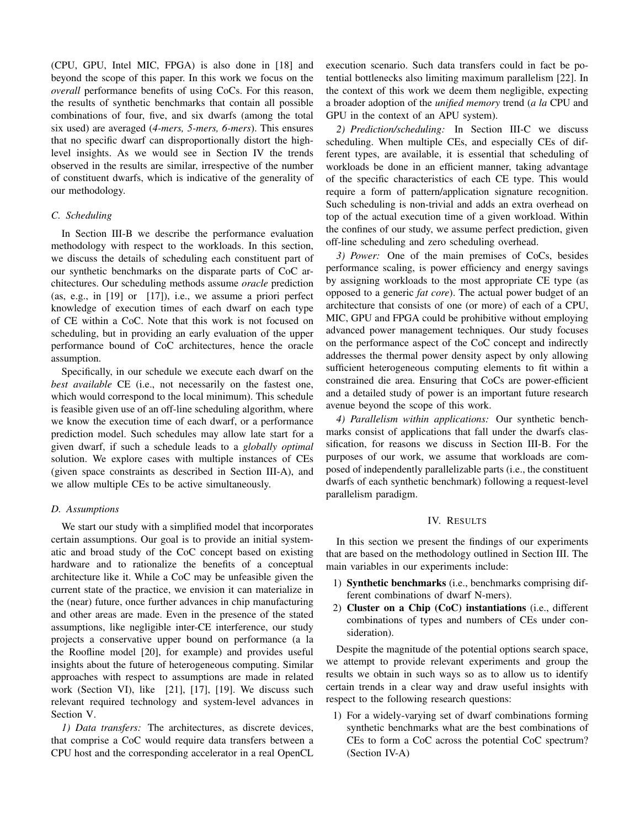(CPU, GPU, Intel MIC, FPGA) is also done in [18] and beyond the scope of this paper. In this work we focus on the *overall* performance benefits of using CoCs. For this reason, the results of synthetic benchmarks that contain all possible combinations of four, five, and six dwarfs (among the total six used) are averaged (*4-mers, 5-mers, 6-mers*). This ensures that no specific dwarf can disproportionally distort the highlevel insights. As we would see in Section IV the trends observed in the results are similar, irrespective of the number of constituent dwarfs, which is indicative of the generality of our methodology.

## *C. Scheduling*

In Section III-B we describe the performance evaluation methodology with respect to the workloads. In this section, we discuss the details of scheduling each constituent part of our synthetic benchmarks on the disparate parts of CoC architectures. Our scheduling methods assume *oracle* prediction (as, e.g., in [19] or [17]), i.e., we assume a priori perfect knowledge of execution times of each dwarf on each type of CE within a CoC. Note that this work is not focused on scheduling, but in providing an early evaluation of the upper performance bound of CoC architectures, hence the oracle assumption.

Specifically, in our schedule we execute each dwarf on the *best available* CE (i.e., not necessarily on the fastest one, which would correspond to the local minimum). This schedule is feasible given use of an off-line scheduling algorithm, where we know the execution time of each dwarf, or a performance prediction model. Such schedules may allow late start for a given dwarf, if such a schedule leads to a *globally optimal* solution. We explore cases with multiple instances of CEs (given space constraints as described in Section III-A), and we allow multiple CEs to be active simultaneously.

## *D. Assumptions*

We start our study with a simplified model that incorporates certain assumptions. Our goal is to provide an initial systematic and broad study of the CoC concept based on existing hardware and to rationalize the benefits of a conceptual architecture like it. While a CoC may be unfeasible given the current state of the practice, we envision it can materialize in the (near) future, once further advances in chip manufacturing and other areas are made. Even in the presence of the stated assumptions, like negligible inter-CE interference, our study projects a conservative upper bound on performance (a la the Roofline model [20], for example) and provides useful insights about the future of heterogeneous computing. Similar approaches with respect to assumptions are made in related work (Section VI), like [21], [17], [19]. We discuss such relevant required technology and system-level advances in Section V.

*1) Data transfers:* The architectures, as discrete devices, that comprise a CoC would require data transfers between a CPU host and the corresponding accelerator in a real OpenCL execution scenario. Such data transfers could in fact be potential bottlenecks also limiting maximum parallelism [22]. In the context of this work we deem them negligible, expecting a broader adoption of the *unified memory* trend (*a la* CPU and GPU in the context of an APU system).

*2) Prediction/scheduling:* In Section III-C we discuss scheduling. When multiple CEs, and especially CEs of different types, are available, it is essential that scheduling of workloads be done in an efficient manner, taking advantage of the specific characteristics of each CE type. This would require a form of pattern/application signature recognition. Such scheduling is non-trivial and adds an extra overhead on top of the actual execution time of a given workload. Within the confines of our study, we assume perfect prediction, given off-line scheduling and zero scheduling overhead.

*3) Power:* One of the main premises of CoCs, besides performance scaling, is power efficiency and energy savings by assigning workloads to the most appropriate CE type (as opposed to a generic *fat core*). The actual power budget of an architecture that consists of one (or more) of each of a CPU, MIC, GPU and FPGA could be prohibitive without employing advanced power management techniques. Our study focuses on the performance aspect of the CoC concept and indirectly addresses the thermal power density aspect by only allowing sufficient heterogeneous computing elements to fit within a constrained die area. Ensuring that CoCs are power-efficient and a detailed study of power is an important future research avenue beyond the scope of this work.

*4) Parallelism within applications:* Our synthetic benchmarks consist of applications that fall under the dwarfs classification, for reasons we discuss in Section III-B. For the purposes of our work, we assume that workloads are composed of independently parallelizable parts (i.e., the constituent dwarfs of each synthetic benchmark) following a request-level parallelism paradigm.

## IV. RESULTS

In this section we present the findings of our experiments that are based on the methodology outlined in Section III. The main variables in our experiments include:

- 1) Synthetic benchmarks (i.e., benchmarks comprising different combinations of dwarf N-mers).
- 2) Cluster on a Chip (CoC) instantiations (i.e., different combinations of types and numbers of CEs under consideration).

Despite the magnitude of the potential options search space, we attempt to provide relevant experiments and group the results we obtain in such ways so as to allow us to identify certain trends in a clear way and draw useful insights with respect to the following research questions:

1) For a widely-varying set of dwarf combinations forming synthetic benchmarks what are the best combinations of CEs to form a CoC across the potential CoC spectrum? (Section IV-A)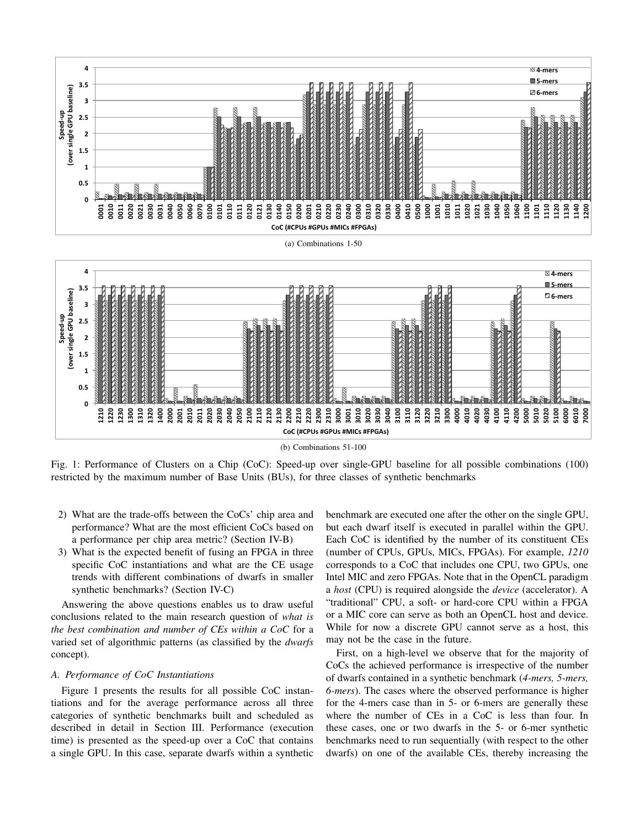

Fig. 1: Performance of Clusters on a Chip (CoC): Speed-up over single-GPU baseline for all possible combinations (100) restricted by the maximum number of Base Units (BUs), for three classes of synthetic benchmarks

- 2) What are the trade-offs between the CoCs' chip area and performance? What are the most efficient CoCs based on a performance per chip area metric? (Section IV-B)
- 3) What is the expected benefit of fusing an FPGA in three specific CoC instantiations and what are the CE usage trends with different combinations of dwarfs in smaller synthetic benchmarks? (Section IV-C)

Answering the above questions enables us to draw useful conclusions related to the main research question of *what is the best combination and number of CEs within a CoC* for a varied set of algorithmic patterns (as classified by the *dwarfs* concept).

# *A. Performance of CoC Instantiations*

Figure 1 presents the results for all possible CoC instantiations and for the average performance across all three categories of synthetic benchmarks built and scheduled as described in detail in Section III. Performance (execution time) is presented as the speed-up over a CoC that contains a single GPU. In this case, separate dwarfs within a synthetic benchmark are executed one after the other on the single GPU, but each dwarf itself is executed in parallel within the GPU. Each CoC is identified by the number of its constituent CEs (number of CPUs, GPUs, MICs, FPGAs). For example, *1210* corresponds to a CoC that includes one CPU, two GPUs, one Intel MIC and zero FPGAs. Note that in the OpenCL paradigm a *host* (CPU) is required alongside the *device* (accelerator). A "traditional" CPU, a soft- or hard-core CPU within a FPGA or a MIC core can serve as both an OpenCL host and device. While for now a discrete GPU cannot serve as a host, this may not be the case in the future.

First, on a high-level we observe that for the majority of CoCs the achieved performance is irrespective of the number of dwarfs contained in a synthetic benchmark (*4-mers, 5-mers, 6-mers*). The cases where the observed performance is higher for the 4-mers case than in 5- or 6-mers are generally these where the number of CEs in a CoC is less than four. In these cases, one or two dwarfs in the 5- or 6-mer synthetic benchmarks need to run sequentially (with respect to the other dwarfs) on one of the available CEs, thereby increasing the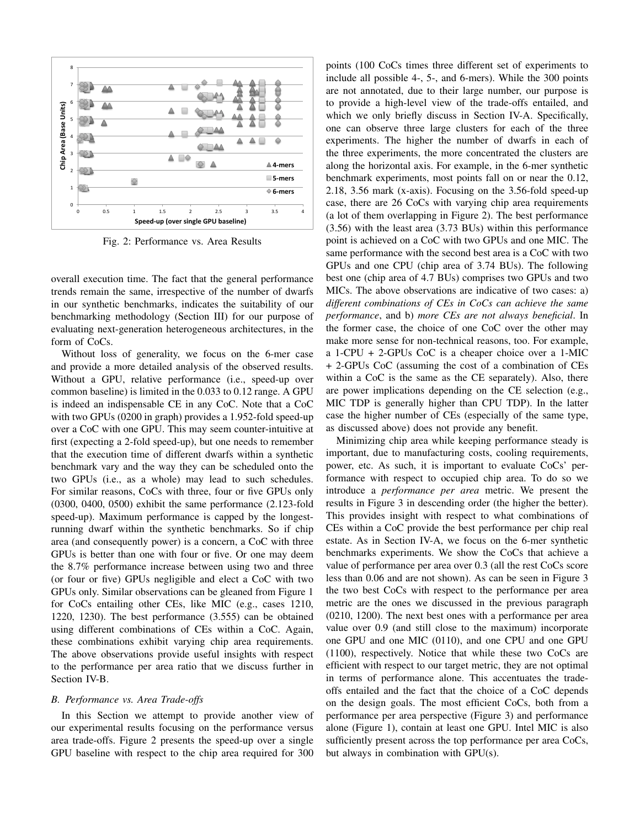

Fig. 2: Performance vs. Area Results

overall execution time. The fact that the general performance trends remain the same, irrespective of the number of dwarfs in our synthetic benchmarks, indicates the suitability of our benchmarking methodology (Section III) for our purpose of evaluating next-generation heterogeneous architectures, in the form of CoCs.

Without loss of generality, we focus on the 6-mer case and provide a more detailed analysis of the observed results. Without a GPU, relative performance (i.e., speed-up over common baseline) is limited in the 0.033 to 0.12 range. A GPU is indeed an indispensable CE in any CoC. Note that a CoC with two GPUs (0200 in graph) provides a 1.952-fold speed-up over a CoC with one GPU. This may seem counter-intuitive at first (expecting a 2-fold speed-up), but one needs to remember that the execution time of different dwarfs within a synthetic benchmark vary and the way they can be scheduled onto the two GPUs (i.e., as a whole) may lead to such schedules. For similar reasons, CoCs with three, four or five GPUs only (0300, 0400, 0500) exhibit the same performance (2.123-fold speed-up). Maximum performance is capped by the longestrunning dwarf within the synthetic benchmarks. So if chip area (and consequently power) is a concern, a CoC with three GPUs is better than one with four or five. Or one may deem the 8.7% performance increase between using two and three (or four or five) GPUs negligible and elect a CoC with two GPUs only. Similar observations can be gleaned from Figure 1 for CoCs entailing other CEs, like MIC (e.g., cases 1210, 1220, 1230). The best performance (3.555) can be obtained using different combinations of CEs within a CoC. Again, these combinations exhibit varying chip area requirements. The above observations provide useful insights with respect to the performance per area ratio that we discuss further in Section IV-B.

### *B. Performance vs. Area Trade-offs*

In this Section we attempt to provide another view of our experimental results focusing on the performance versus area trade-offs. Figure 2 presents the speed-up over a single GPU baseline with respect to the chip area required for 300 points (100 CoCs times three different set of experiments to include all possible 4-, 5-, and 6-mers). While the 300 points are not annotated, due to their large number, our purpose is to provide a high-level view of the trade-offs entailed, and which we only briefly discuss in Section IV-A. Specifically, one can observe three large clusters for each of the three experiments. The higher the number of dwarfs in each of the three experiments, the more concentrated the clusters are along the horizontal axis. For example, in the 6-mer synthetic benchmark experiments, most points fall on or near the 0.12, 2.18, 3.56 mark (x-axis). Focusing on the 3.56-fold speed-up case, there are 26 CoCs with varying chip area requirements (a lot of them overlapping in Figure 2). The best performance (3.56) with the least area (3.73 BUs) within this performance point is achieved on a CoC with two GPUs and one MIC. The same performance with the second best area is a CoC with two GPUs and one CPU (chip area of 3.74 BUs). The following best one (chip area of 4.7 BUs) comprises two GPUs and two MICs. The above observations are indicative of two cases: a) *different combinations of CEs in CoCs can achieve the same performance*, and b) *more CEs are not always beneficial*. In the former case, the choice of one CoC over the other may make more sense for non-technical reasons, too. For example, a 1-CPU + 2-GPUs CoC is a cheaper choice over a 1-MIC + 2-GPUs CoC (assuming the cost of a combination of CEs within a CoC is the same as the CE separately). Also, there are power implications depending on the CE selection (e.g., MIC TDP is generally higher than CPU TDP). In the latter case the higher number of CEs (especially of the same type, as discussed above) does not provide any benefit.

Minimizing chip area while keeping performance steady is important, due to manufacturing costs, cooling requirements, power, etc. As such, it is important to evaluate CoCs' performance with respect to occupied chip area. To do so we introduce a *performance per area* metric. We present the results in Figure 3 in descending order (the higher the better). This provides insight with respect to what combinations of CEs within a CoC provide the best performance per chip real estate. As in Section IV-A, we focus on the 6-mer synthetic benchmarks experiments. We show the CoCs that achieve a value of performance per area over 0.3 (all the rest CoCs score less than 0.06 and are not shown). As can be seen in Figure 3 the two best CoCs with respect to the performance per area metric are the ones we discussed in the previous paragraph (0210, 1200). The next best ones with a performance per area value over 0.9 (and still close to the maximum) incorporate one GPU and one MIC (0110), and one CPU and one GPU (1100), respectively. Notice that while these two CoCs are efficient with respect to our target metric, they are not optimal in terms of performance alone. This accentuates the tradeoffs entailed and the fact that the choice of a CoC depends on the design goals. The most efficient CoCs, both from a performance per area perspective (Figure 3) and performance alone (Figure 1), contain at least one GPU. Intel MIC is also sufficiently present across the top performance per area CoCs, but always in combination with GPU(s).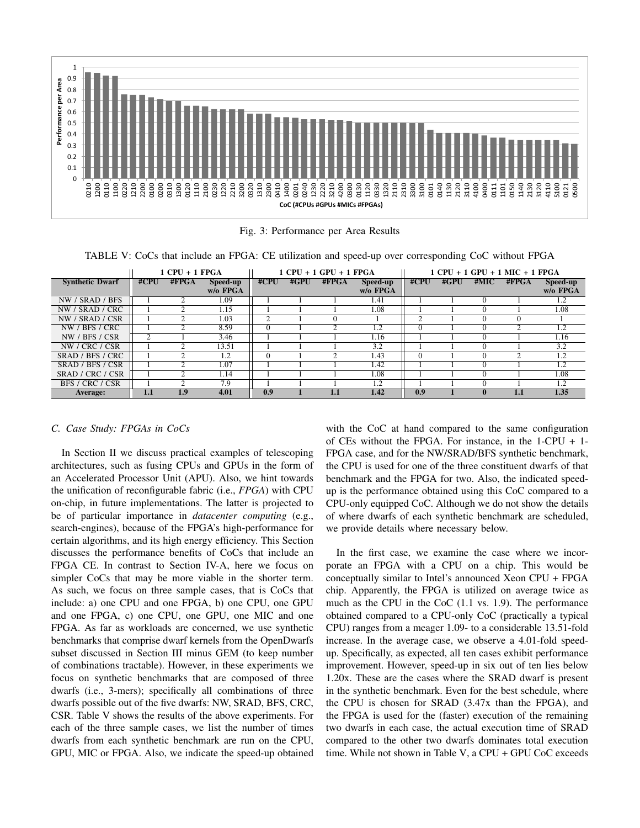

Fig. 3: Performance per Area Results

TABLE V: CoCs that include an FPGA: CE utilization and speed-up over corresponding CoC without FPGA

|                        |          | 1 CPU + 1 FPGA<br>$1$ CPU + $1$ GPU + $1$ FPGA |          |          |      | 1 CPU + 1 GPU + 1 MIC + 1 FPGA |          |      |      |      |                  |                  |
|------------------------|----------|------------------------------------------------|----------|----------|------|--------------------------------|----------|------|------|------|------------------|------------------|
| <b>Synthetic Dwarf</b> | $\#$ CPU | #FPGA                                          | Speed-up | #CPU     | #GPU | #FPGA                          | Speed-up | #CPU | #GPU | #MIC | $\# \text{FPGA}$ | Speed-up         |
|                        |          |                                                | w/o FPGA |          |      |                                | w/o FPGA |      |      |      |                  | w/o FPGA         |
| NW / SRAD / BFS        |          | ◠                                              | 1.09     |          |      |                                | 1.41     |      |      |      |                  | 1.2              |
| NW / SRAD / CRC        |          | ◠                                              | 1.15     |          |      |                                | 1.08     |      |      |      |                  | 1.08             |
| NW / SRAD / CSR        |          | ⌒                                              | 1.03     |          |      |                                |          |      |      |      |                  |                  |
| NW / BFS / CRC         |          | ◠                                              | 8.59     | $\Omega$ |      |                                | 1.2      |      |      |      | $\bigcap$        | $1.\overline{2}$ |
| NW / BFS / CSR         | ↑        |                                                | 3.46     |          |      |                                | 1.16     |      |      |      |                  | 1.16             |
| NW / CRC / CSR         |          | ◠                                              | 13.51    |          |      |                                | 3.2      |      |      |      |                  | 3.2              |
| SRAD / BFS / CRC       |          | ◠                                              | 1.2      | $\Omega$ |      |                                | 1.43     |      |      |      | ◠                | 1.2              |
| SRAD / BFS / CSR       |          | ◠                                              | 1.07     |          |      |                                | 1.42     |      |      | ∩    |                  | 1.2              |
| SRAD / CRC / CSR       |          | ◠                                              | 1.14     |          |      |                                | 1.08     |      |      |      |                  | 1.08             |
| BFS / CRC / CSR        |          | ◠                                              | 7.9      |          |      |                                | 1.2      |      |      |      |                  | 1.2              |
| Average:               | 1.1      | 1.9                                            | 4.01     | 0.9      |      |                                | 1.42     | 0.9  |      |      | 1.1              | 1.35             |

# *C. Case Study: FPGAs in CoCs*

In Section II we discuss practical examples of telescoping architectures, such as fusing CPUs and GPUs in the form of an Accelerated Processor Unit (APU). Also, we hint towards the unification of reconfigurable fabric (i.e., *FPGA*) with CPU on-chip, in future implementations. The latter is projected to be of particular importance in *datacenter computing* (e.g., search-engines), because of the FPGA's high-performance for certain algorithms, and its high energy efficiency. This Section discusses the performance benefits of CoCs that include an FPGA CE. In contrast to Section IV-A, here we focus on simpler CoCs that may be more viable in the shorter term. As such, we focus on three sample cases, that is CoCs that include: a) one CPU and one FPGA, b) one CPU, one GPU and one FPGA, c) one CPU, one GPU, one MIC and one FPGA. As far as workloads are concerned, we use synthetic benchmarks that comprise dwarf kernels from the OpenDwarfs subset discussed in Section III minus GEM (to keep number of combinations tractable). However, in these experiments we focus on synthetic benchmarks that are composed of three dwarfs (i.e., 3-mers); specifically all combinations of three dwarfs possible out of the five dwarfs: NW, SRAD, BFS, CRC, CSR. Table V shows the results of the above experiments. For each of the three sample cases, we list the number of times dwarfs from each synthetic benchmark are run on the CPU, GPU, MIC or FPGA. Also, we indicate the speed-up obtained

with the CoC at hand compared to the same configuration of CEs without the FPGA. For instance, in the 1-CPU + 1- FPGA case, and for the NW/SRAD/BFS synthetic benchmark, the CPU is used for one of the three constituent dwarfs of that benchmark and the FPGA for two. Also, the indicated speedup is the performance obtained using this CoC compared to a CPU-only equipped CoC. Although we do not show the details of where dwarfs of each synthetic benchmark are scheduled, we provide details where necessary below.

In the first case, we examine the case where we incorporate an FPGA with a CPU on a chip. This would be conceptually similar to Intel's announced Xeon CPU + FPGA chip. Apparently, the FPGA is utilized on average twice as much as the CPU in the CoC (1.1 vs. 1.9). The performance obtained compared to a CPU-only CoC (practically a typical CPU) ranges from a meager 1.09- to a considerable 13.51-fold increase. In the average case, we observe a 4.01-fold speedup. Specifically, as expected, all ten cases exhibit performance improvement. However, speed-up in six out of ten lies below 1.20x. These are the cases where the SRAD dwarf is present in the synthetic benchmark. Even for the best schedule, where the CPU is chosen for SRAD (3.47x than the FPGA), and the FPGA is used for the (faster) execution of the remaining two dwarfs in each case, the actual execution time of SRAD compared to the other two dwarfs dominates total execution time. While not shown in Table V, a CPU + GPU CoC exceeds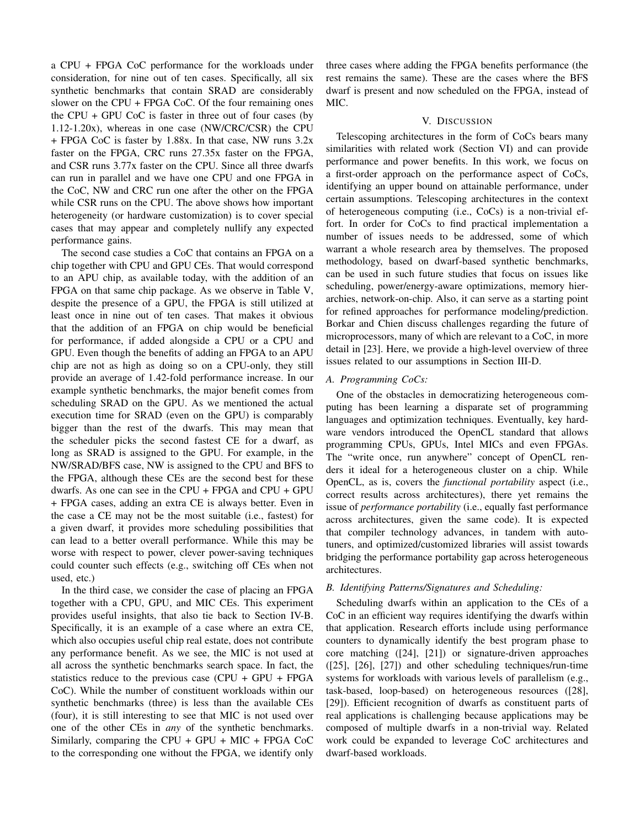a CPU + FPGA CoC performance for the workloads under consideration, for nine out of ten cases. Specifically, all six synthetic benchmarks that contain SRAD are considerably slower on the CPU + FPGA CoC. Of the four remaining ones the CPU + GPU CoC is faster in three out of four cases (by 1.12-1.20x), whereas in one case (NW/CRC/CSR) the CPU + FPGA CoC is faster by 1.88x. In that case, NW runs 3.2x faster on the FPGA, CRC runs 27.35x faster on the FPGA, and CSR runs 3.77x faster on the CPU. Since all three dwarfs can run in parallel and we have one CPU and one FPGA in the CoC, NW and CRC run one after the other on the FPGA while CSR runs on the CPU. The above shows how important heterogeneity (or hardware customization) is to cover special cases that may appear and completely nullify any expected performance gains.

The second case studies a CoC that contains an FPGA on a chip together with CPU and GPU CEs. That would correspond to an APU chip, as available today, with the addition of an FPGA on that same chip package. As we observe in Table V, despite the presence of a GPU, the FPGA is still utilized at least once in nine out of ten cases. That makes it obvious that the addition of an FPGA on chip would be beneficial for performance, if added alongside a CPU or a CPU and GPU. Even though the benefits of adding an FPGA to an APU chip are not as high as doing so on a CPU-only, they still provide an average of 1.42-fold performance increase. In our example synthetic benchmarks, the major benefit comes from scheduling SRAD on the GPU. As we mentioned the actual execution time for SRAD (even on the GPU) is comparably bigger than the rest of the dwarfs. This may mean that the scheduler picks the second fastest CE for a dwarf, as long as SRAD is assigned to the GPU. For example, in the NW/SRAD/BFS case, NW is assigned to the CPU and BFS to the FPGA, although these CEs are the second best for these dwarfs. As one can see in the CPU + FPGA and CPU + GPU + FPGA cases, adding an extra CE is always better. Even in the case a CE may not be the most suitable (i.e., fastest) for a given dwarf, it provides more scheduling possibilities that can lead to a better overall performance. While this may be worse with respect to power, clever power-saving techniques could counter such effects (e.g., switching off CEs when not used, etc.)

In the third case, we consider the case of placing an FPGA together with a CPU, GPU, and MIC CEs. This experiment provides useful insights, that also tie back to Section IV-B. Specifically, it is an example of a case where an extra CE, which also occupies useful chip real estate, does not contribute any performance benefit. As we see, the MIC is not used at all across the synthetic benchmarks search space. In fact, the statistics reduce to the previous case (CPU + GPU + FPGA CoC). While the number of constituent workloads within our synthetic benchmarks (three) is less than the available CEs (four), it is still interesting to see that MIC is not used over one of the other CEs in *any* of the synthetic benchmarks. Similarly, comparing the CPU + GPU + MIC + FPGA CoC to the corresponding one without the FPGA, we identify only three cases where adding the FPGA benefits performance (the rest remains the same). These are the cases where the BFS dwarf is present and now scheduled on the FPGA, instead of MIC.

## V. DISCUSSION

Telescoping architectures in the form of CoCs bears many similarities with related work (Section VI) and can provide performance and power benefits. In this work, we focus on a first-order approach on the performance aspect of CoCs, identifying an upper bound on attainable performance, under certain assumptions. Telescoping architectures in the context of heterogeneous computing (i.e., CoCs) is a non-trivial effort. In order for CoCs to find practical implementation a number of issues needs to be addressed, some of which warrant a whole research area by themselves. The proposed methodology, based on dwarf-based synthetic benchmarks, can be used in such future studies that focus on issues like scheduling, power/energy-aware optimizations, memory hierarchies, network-on-chip. Also, it can serve as a starting point for refined approaches for performance modeling/prediction. Borkar and Chien discuss challenges regarding the future of microprocessors, many of which are relevant to a CoC, in more detail in [23]. Here, we provide a high-level overview of three issues related to our assumptions in Section III-D.

## *A. Programming CoCs:*

One of the obstacles in democratizing heterogeneous computing has been learning a disparate set of programming languages and optimization techniques. Eventually, key hardware vendors introduced the OpenCL standard that allows programming CPUs, GPUs, Intel MICs and even FPGAs. The "write once, run anywhere" concept of OpenCL renders it ideal for a heterogeneous cluster on a chip. While OpenCL, as is, covers the *functional portability* aspect (i.e., correct results across architectures), there yet remains the issue of *performance portability* (i.e., equally fast performance across architectures, given the same code). It is expected that compiler technology advances, in tandem with autotuners, and optimized/customized libraries will assist towards bridging the performance portability gap across heterogeneous architectures.

## *B. Identifying Patterns/Signatures and Scheduling:*

Scheduling dwarfs within an application to the CEs of a CoC in an efficient way requires identifying the dwarfs within that application. Research efforts include using performance counters to dynamically identify the best program phase to core matching ([24], [21]) or signature-driven approaches ([25], [26], [27]) and other scheduling techniques/run-time systems for workloads with various levels of parallelism (e.g., task-based, loop-based) on heterogeneous resources ([28], [29]). Efficient recognition of dwarfs as constituent parts of real applications is challenging because applications may be composed of multiple dwarfs in a non-trivial way. Related work could be expanded to leverage CoC architectures and dwarf-based workloads.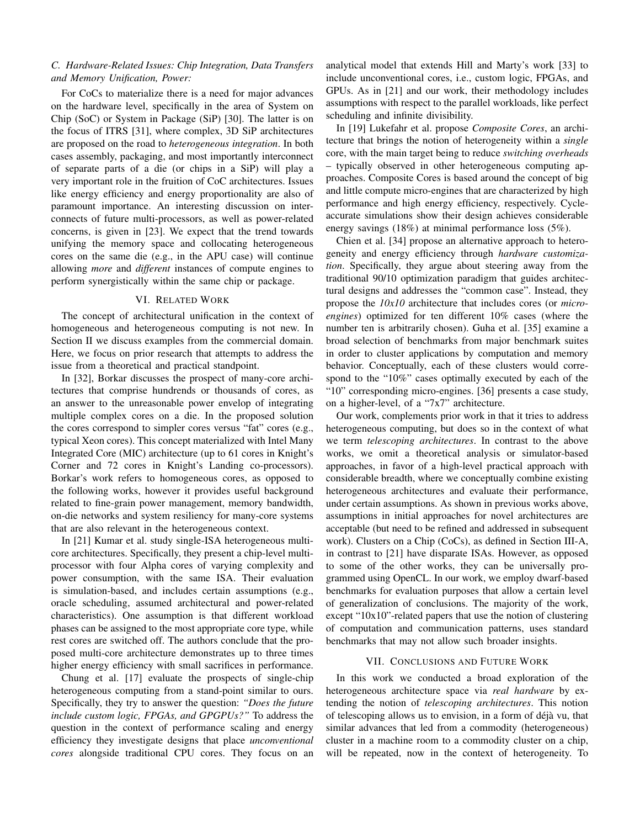# *C. Hardware-Related Issues: Chip Integration, Data Transfers and Memory Unification, Power:*

For CoCs to materialize there is a need for major advances on the hardware level, specifically in the area of System on Chip (SoC) or System in Package (SiP) [30]. The latter is on the focus of ITRS [31], where complex, 3D SiP architectures are proposed on the road to *heterogeneous integration*. In both cases assembly, packaging, and most importantly interconnect of separate parts of a die (or chips in a SiP) will play a very important role in the fruition of CoC architectures. Issues like energy efficiency and energy proportionality are also of paramount importance. An interesting discussion on interconnects of future multi-processors, as well as power-related concerns, is given in [23]. We expect that the trend towards unifying the memory space and collocating heterogeneous cores on the same die (e.g., in the APU case) will continue allowing *more* and *different* instances of compute engines to perform synergistically within the same chip or package.

## VI. RELATED WORK

The concept of architectural unification in the context of homogeneous and heterogeneous computing is not new. In Section II we discuss examples from the commercial domain. Here, we focus on prior research that attempts to address the issue from a theoretical and practical standpoint.

In [32], Borkar discusses the prospect of many-core architectures that comprise hundrends or thousands of cores, as an answer to the unreasonable power envelop of integrating multiple complex cores on a die. In the proposed solution the cores correspond to simpler cores versus "fat" cores (e.g., typical Xeon cores). This concept materialized with Intel Many Integrated Core (MIC) architecture (up to 61 cores in Knight's Corner and 72 cores in Knight's Landing co-processors). Borkar's work refers to homogeneous cores, as opposed to the following works, however it provides useful background related to fine-grain power management, memory bandwidth, on-die networks and system resiliency for many-core systems that are also relevant in the heterogeneous context.

In [21] Kumar et al. study single-ISA heterogeneous multicore architectures. Specifically, they present a chip-level multiprocessor with four Alpha cores of varying complexity and power consumption, with the same ISA. Their evaluation is simulation-based, and includes certain assumptions (e.g., oracle scheduling, assumed architectural and power-related characteristics). One assumption is that different workload phases can be assigned to the most appropriate core type, while rest cores are switched off. The authors conclude that the proposed multi-core architecture demonstrates up to three times higher energy efficiency with small sacrifices in performance.

Chung et al. [17] evaluate the prospects of single-chip heterogeneous computing from a stand-point similar to ours. Specifically, they try to answer the question: *"Does the future include custom logic, FPGAs, and GPGPUs?"* To address the question in the context of performance scaling and energy efficiency they investigate designs that place *unconventional cores* alongside traditional CPU cores. They focus on an analytical model that extends Hill and Marty's work [33] to include unconventional cores, i.e., custom logic, FPGAs, and GPUs. As in [21] and our work, their methodology includes assumptions with respect to the parallel workloads, like perfect scheduling and infinite divisibility.

In [19] Lukefahr et al. propose *Composite Cores*, an architecture that brings the notion of heterogeneity within a *single* core, with the main target being to reduce *switching overheads* – typically observed in other heterogeneous computing approaches. Composite Cores is based around the concept of big and little compute micro-engines that are characterized by high performance and high energy efficiency, respectively. Cycleaccurate simulations show their design achieves considerable energy savings (18%) at minimal performance loss (5%).

Chien et al. [34] propose an alternative approach to heterogeneity and energy efficiency through *hardware customization*. Specifically, they argue about steering away from the traditional 90/10 optimization paradigm that guides architectural designs and addresses the "common case". Instead, they propose the *10x10* architecture that includes cores (or *microengines*) optimized for ten different 10% cases (where the number ten is arbitrarily chosen). Guha et al. [35] examine a broad selection of benchmarks from major benchmark suites in order to cluster applications by computation and memory behavior. Conceptually, each of these clusters would correspond to the "10%" cases optimally executed by each of the "10" corresponding micro-engines. [36] presents a case study, on a higher-level, of a "7x7" architecture.

Our work, complements prior work in that it tries to address heterogeneous computing, but does so in the context of what we term *telescoping architectures*. In contrast to the above works, we omit a theoretical analysis or simulator-based approaches, in favor of a high-level practical approach with considerable breadth, where we conceptually combine existing heterogeneous architectures and evaluate their performance, under certain assumptions. As shown in previous works above, assumptions in initial approaches for novel architectures are acceptable (but need to be refined and addressed in subsequent work). Clusters on a Chip (CoCs), as defined in Section III-A, in contrast to [21] have disparate ISAs. However, as opposed to some of the other works, they can be universally programmed using OpenCL. In our work, we employ dwarf-based benchmarks for evaluation purposes that allow a certain level of generalization of conclusions. The majority of the work, except "10x10"-related papers that use the notion of clustering of computation and communication patterns, uses standard benchmarks that may not allow such broader insights.

#### VII. CONCLUSIONS AND FUTURE WORK

In this work we conducted a broad exploration of the heterogeneous architecture space via *real hardware* by extending the notion of *telescoping architectures*. This notion of telescoping allows us to envision, in a form of déjà vu, that similar advances that led from a commodity (heterogeneous) cluster in a machine room to a commodity cluster on a chip, will be repeated, now in the context of heterogeneity. To